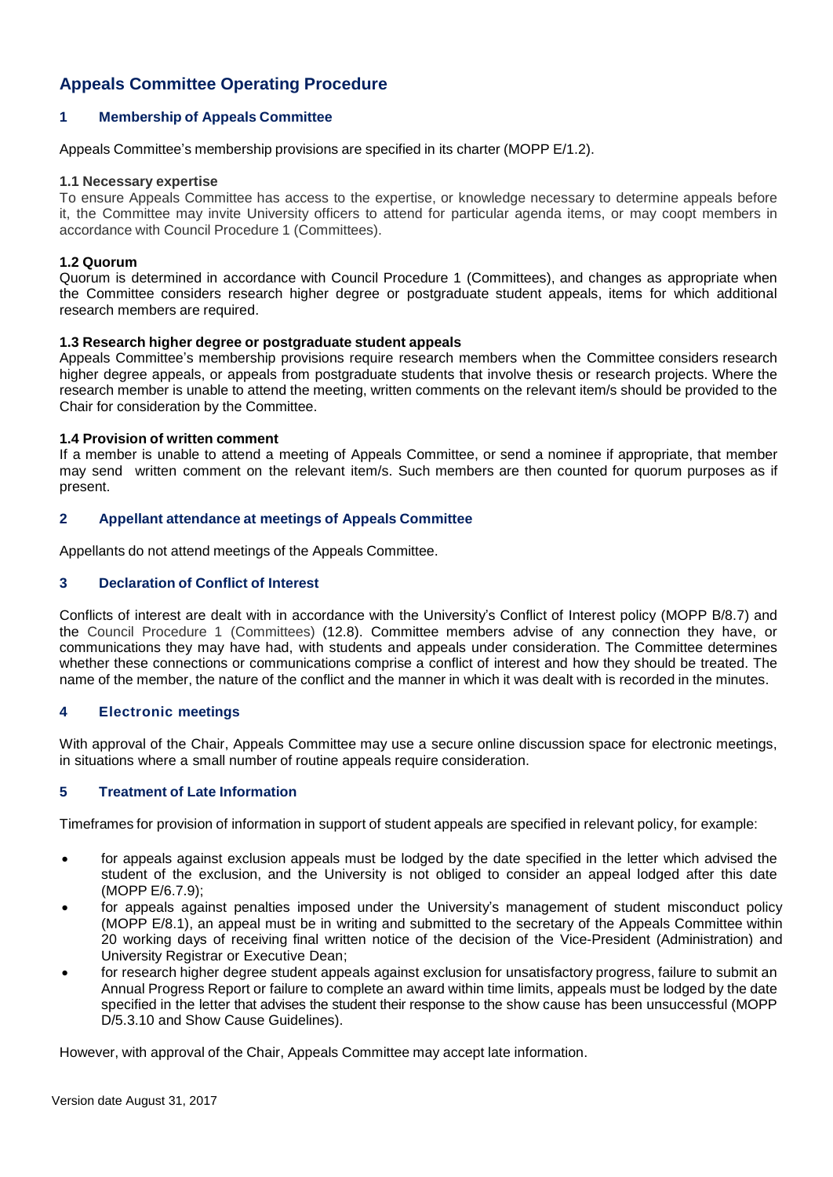# **Appeals Committee Operating Procedure**

# **1 Membership of Appeals Committee**

Appeals Committee's membership provisions are specified in its charter (MOPP E/1.2).

#### **1.1 Necessary expertise**

To ensure Appeals Committee has access to the expertise, or knowledge necessary to determine appeals before it, the Committee may invite University officers to attend for particular agenda items, or may coopt members in accordance with Council Procedure 1 (Committees).

## **1.2 Quorum**

Quorum is determined in accordance with Council Procedure 1 (Committees), and changes as appropriate when the Committee considers research higher degree or postgraduate student appeals, items for which additional research members are required.

## **1.3 Research higher degree or postgraduate student appeals**

Appeals Committee's membership provisions require research members when the Committee considers research higher degree appeals, or appeals from postgraduate students that involve thesis or research projects. Where the research member is unable to attend the meeting, written comments on the relevant item/s should be provided to the Chair for consideration by the Committee.

## **1.4 Provision of written comment**

If a member is unable to attend a meeting of Appeals Committee, or send a nominee if appropriate, that member may send written comment on the relevant item/s. Such members are then counted for quorum purposes as if present.

## **2 Appellant attendance at meetings of Appeals Committee**

Appellants do not attend meetings of the Appeals Committee.

## **3 Declaration of Conflict of Interest**

Conflicts of interest are dealt with in accordance with the University's Conflict of Interest policy (MOPP B/8.7) and the Council Procedure 1 (Committees) (12.8). Committee members advise of any connection they have, or communications they may have had, with students and appeals under consideration. The Committee determines whether these connections or communications comprise a conflict of interest and how they should be treated. The name of the member, the nature of the conflict and the manner in which it was dealt with is recorded in the minutes.

## **4 Electronic meetings**

With approval of the Chair, Appeals Committee may use a secure online discussion space for electronic meetings, in situations where a small number of routine appeals require consideration.

## **5 Treatment of Late Information**

Timeframes for provision of information in support of student appeals are specified in relevant policy, for example:

- for appeals against exclusion appeals must be lodged by the date specified in the letter which advised the student of the exclusion, and the University is not obliged to consider an appeal lodged after this date (MOPP E/6.7.9);
- for appeals against penalties imposed under the University's management of student misconduct policy (MOPP E/8.1), an appeal must be in writing and submitted to the secretary of the Appeals Committee within 20 working days of receiving final written notice of the decision of the Vice-President (Administration) and University Registrar or Executive Dean;
- for research higher degree student appeals against exclusion for unsatisfactory progress, failure to submit an Annual Progress Report or failure to complete an award within time limits, appeals must be lodged by the date specified in the letter that advises the student their response to the show cause has been unsuccessful (MOPP D/5.3.10 and Show Cause Guidelines).

However, with approval of the Chair, Appeals Committee may accept late information.